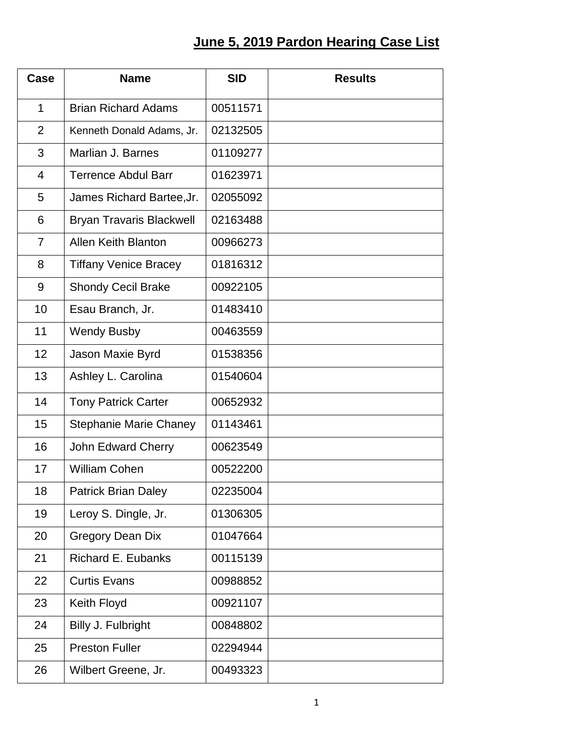## **June 5, 2019 Pardon Hearing Case List**

| Case           | <b>Name</b>                     | <b>SID</b> | <b>Results</b> |
|----------------|---------------------------------|------------|----------------|
| $\mathbf{1}$   | <b>Brian Richard Adams</b>      | 00511571   |                |
| $\overline{2}$ | Kenneth Donald Adams, Jr.       | 02132505   |                |
| 3              | Marlian J. Barnes               | 01109277   |                |
| $\overline{4}$ | <b>Terrence Abdul Barr</b>      | 01623971   |                |
| 5              | James Richard Bartee, Jr.       | 02055092   |                |
| 6              | <b>Bryan Travaris Blackwell</b> | 02163488   |                |
| $\overline{7}$ | <b>Allen Keith Blanton</b>      | 00966273   |                |
| 8              | <b>Tiffany Venice Bracey</b>    | 01816312   |                |
| 9              | <b>Shondy Cecil Brake</b>       | 00922105   |                |
| 10             | Esau Branch, Jr.                | 01483410   |                |
| 11             | <b>Wendy Busby</b>              | 00463559   |                |
| 12             | Jason Maxie Byrd                | 01538356   |                |
| 13             | Ashley L. Carolina              | 01540604   |                |
| 14             | <b>Tony Patrick Carter</b>      | 00652932   |                |
| 15             | <b>Stephanie Marie Chaney</b>   | 01143461   |                |
| 16             | John Edward Cherry              | 00623549   |                |
| 17             | <b>William Cohen</b>            | 00522200   |                |
| 18             | <b>Patrick Brian Daley</b>      | 02235004   |                |
| 19             | Leroy S. Dingle, Jr.            | 01306305   |                |
| 20             | <b>Gregory Dean Dix</b>         | 01047664   |                |
| 21             | Richard E. Eubanks              | 00115139   |                |
| 22             | <b>Curtis Evans</b>             | 00988852   |                |
| 23             | Keith Floyd                     | 00921107   |                |
| 24             | Billy J. Fulbright              | 00848802   |                |
| 25             | <b>Preston Fuller</b>           | 02294944   |                |
| 26             | Wilbert Greene, Jr.             | 00493323   |                |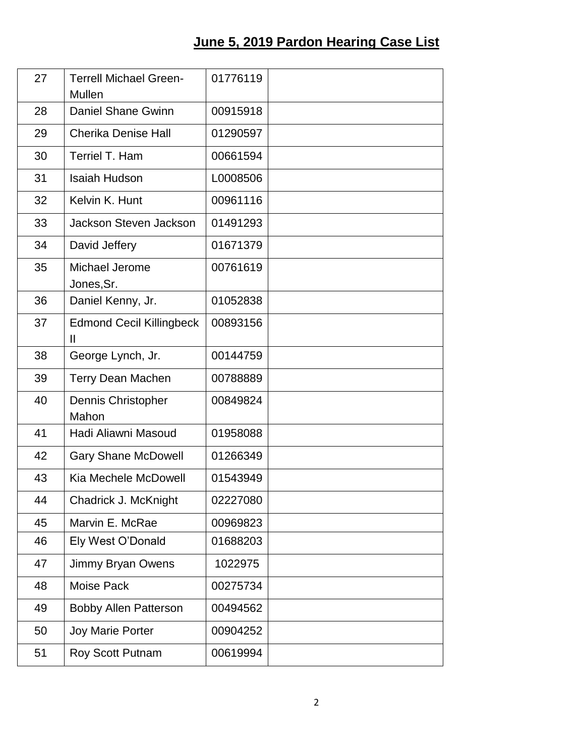## **June 5, 2019 Pardon Hearing Case List**

| 27 | <b>Terrell Michael Green-</b><br><b>Mullen</b>  | 01776119 |  |
|----|-------------------------------------------------|----------|--|
| 28 | <b>Daniel Shane Gwinn</b>                       | 00915918 |  |
| 29 | <b>Cherika Denise Hall</b>                      | 01290597 |  |
| 30 | Terriel T. Ham                                  | 00661594 |  |
| 31 | <b>Isaiah Hudson</b>                            | L0008506 |  |
| 32 | Kelvin K. Hunt                                  | 00961116 |  |
| 33 | Jackson Steven Jackson                          | 01491293 |  |
| 34 | David Jeffery                                   | 01671379 |  |
| 35 | Michael Jerome<br>Jones, Sr.                    | 00761619 |  |
| 36 | Daniel Kenny, Jr.                               | 01052838 |  |
| 37 | <b>Edmond Cecil Killingbeck</b><br>$\mathbf{I}$ | 00893156 |  |
| 38 | George Lynch, Jr.                               | 00144759 |  |
| 39 | <b>Terry Dean Machen</b>                        | 00788889 |  |
| 40 | Dennis Christopher<br>Mahon                     | 00849824 |  |
| 41 | Hadi Aliawni Masoud                             | 01958088 |  |
| 42 | <b>Gary Shane McDowell</b>                      | 01266349 |  |
| 43 | Kia Mechele McDowell                            | 01543949 |  |
| 44 | Chadrick J. McKnight                            | 02227080 |  |
| 45 | Marvin E. McRae                                 | 00969823 |  |
| 46 | Ely West O'Donald                               | 01688203 |  |
| 47 | Jimmy Bryan Owens                               | 1022975  |  |
| 48 | Moise Pack                                      | 00275734 |  |
| 49 | <b>Bobby Allen Patterson</b>                    | 00494562 |  |
| 50 | <b>Joy Marie Porter</b>                         | 00904252 |  |
| 51 | Roy Scott Putnam                                | 00619994 |  |